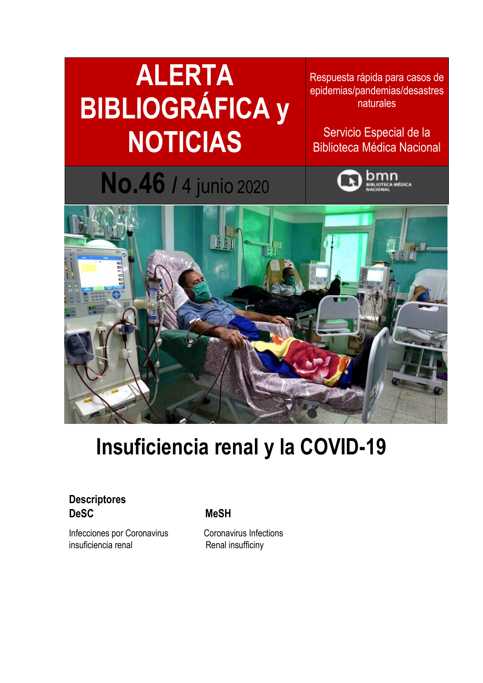### **ALERTA BIBLIOGRÁFICA y NOTICIAS**

**No.46 /** 4 junio <sup>2020</sup>

Respuesta rápida para casos de epidemias/pandemias/desastres naturales

Servicio Especial de la Biblioteca Médica Nacional





### **Insuficiencia renal y la COVID-19**

### **Descriptores DeSC MeSH**

Infecciones por Coronavirus **Coronavirus** Coronavirus Infections insuficiencia renal Renal insufficiny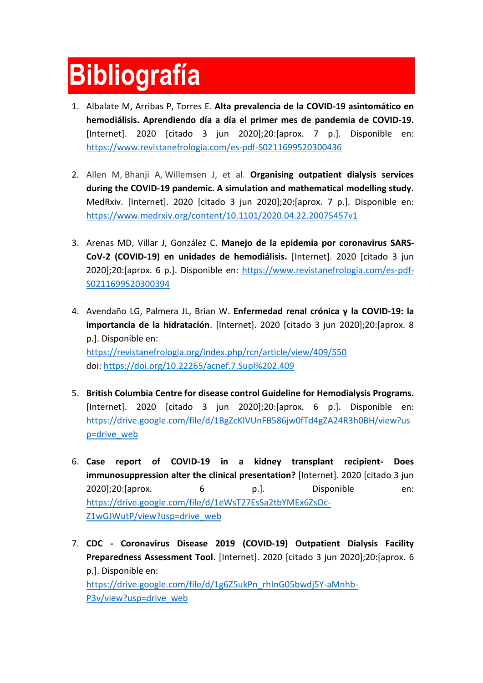# **Bibliografía**

- 1. Albalate M, Arribas P, Torres E. **Alta prevalencia de la COVID-19 asintomático en hemodiálisis. Aprendiendo día a día el primer mes de pandemia de COVID-19.** [Internet]. 2020 [citado 3 jun 2020];20:[aprox. 7 p.]. Disponible en: <https://www.revistanefrologia.com/es-pdf-S0211699520300436>
- 2. Allen M, Bhanji A, Willemsen J, et al. **[Organising outpatient dialysis services](https://www.medrxiv.org/content/10.1101/2020.04.22.20075457v1)  during the COVID-19 [pandemic. A simulation and mathematical modelling study.](https://www.medrxiv.org/content/10.1101/2020.04.22.20075457v1)** MedRxiv. [Internet]. 2020 [citado 3 jun 2020];20:[aprox. 7 p.]. Disponible en: <https://www.medrxiv.org/content/10.1101/2020.04.22.20075457v1>
- 3. Arenas MD, Villar J, González C. **Manejo de la epidemia por coronavirus SARS-CoV-2 (COVID-19) en unidades de hemodiálisis.** [Internet]. 2020 [citado 3 jun 2020];20:[aprox. 6 p.]. Disponible en: [https://www.revistanefrologia.com/es-pdf-](https://www.revistanefrologia.com/es-pdf-S0211699520300394)[S0211699520300394](https://www.revistanefrologia.com/es-pdf-S0211699520300394)
- 4. Avendaño LG, Palmera JL, Brian W. **Enfermedad renal crónica y la COVID-19: la importancia de la hidratación**. [Internet]. 2020 [citado 3 jun 2020];20:[aprox. 8 p.]. Disponible en: <https://revistanefrologia.org/index.php/rcn/article/view/409/550> doi: <https://doi.org/10.22265/acnef.7.Supl%202.409>
- 5. **British Columbia Centre for disease control Guideline for Hemodialysis Programs.** [Internet]. 2020 [citado 3 jun 2020];20:[aprox. 6 p.]. Disponible en: [https://drive.google.com/file/d/1BgZcKIVUnFB586jw0fTd4gZA24R3h0BH/view?us](https://drive.google.com/file/d/1BgZcKIVUnFB586jw0fTd4gZA24R3h0BH/view?usp=drive_web) [p=drive\\_web](https://drive.google.com/file/d/1BgZcKIVUnFB586jw0fTd4gZA24R3h0BH/view?usp=drive_web)
- 6. **Case report of COVID-19 in a kidney transplant recipient- Does immunosuppression alter the clinical presentation?** [Internet]. 2020 [citado 3 jun 2020];20:[aprox. 6 p.]. Disponible en: [https://drive.google.com/file/d/1eWsT27EsSa2tbYMEx6ZsOc-](https://drive.google.com/file/d/1eWsT27EsSa2tbYMEx6ZsOc-Z1wGJWutP/view?usp=drive_web)[Z1wGJWutP/view?usp=drive\\_web](https://drive.google.com/file/d/1eWsT27EsSa2tbYMEx6ZsOc-Z1wGJWutP/view?usp=drive_web)
- 7. **CDC - Coronavirus Disease 2019 (COVID-19) Outpatient Dialysis Facility Preparedness Assessment Tool**. [Internet]. 2020 [citado 3 jun 2020];20:[aprox. 6 p.]. Disponible en: [https://drive.google.com/file/d/1g6Z5ukPn\\_rhInG05bwdj5Y-aMnhb-](https://drive.google.com/file/d/1g6Z5ukPn_rhInG05bwdj5Y-aMnhb-P3v/view?usp=drive_web)[P3v/view?usp=drive\\_web](https://drive.google.com/file/d/1g6Z5ukPn_rhInG05bwdj5Y-aMnhb-P3v/view?usp=drive_web)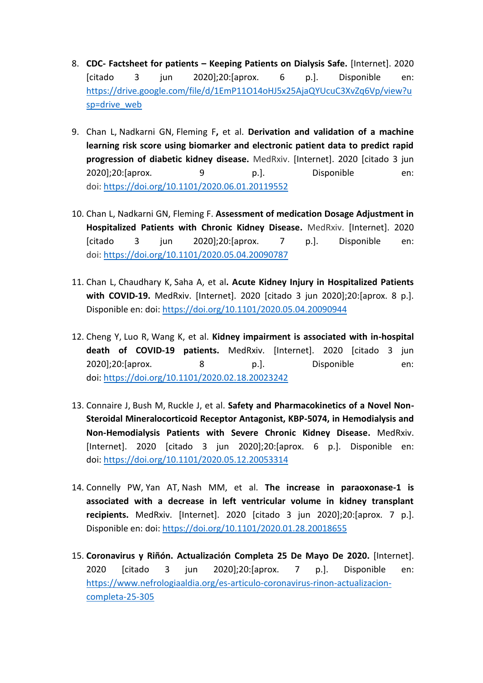- 8. **CDC- Factsheet for patients – Keeping Patients on Dialysis Safe.** [Internet]. 2020 [citado 3 jun 2020];20:[aprox. 6 p.]. Disponible en: [https://drive.google.com/file/d/1EmP11O14oHJ5x25AjaQYUcuC3XvZq6Vp/view?u](https://drive.google.com/file/d/1EmP11O14oHJ5x25AjaQYUcuC3XvZq6Vp/view?usp=drive_web) [sp=drive\\_web](https://drive.google.com/file/d/1EmP11O14oHJ5x25AjaQYUcuC3XvZq6Vp/view?usp=drive_web)
- 9. Chan L, Nadkarni GN, Fleming F**,** et al. **[Derivation and validation of a machine](https://www.medrxiv.org/content/10.1101/2020.06.01.20119552v1)  [learning risk score using biomarker and electronic patient data to predict rapid](https://www.medrxiv.org/content/10.1101/2020.06.01.20119552v1)  [progression of diabetic kidney disease.](https://www.medrxiv.org/content/10.1101/2020.06.01.20119552v1)** MedRxiv. [Internet]. 2020 [citado 3 jun 2020];20:[aprox. 9 p.]. Disponible en: doi: <https://doi.org/10.1101/2020.06.01.20119552>
- 10. Chan L, Nadkarni GN, Fleming F. **[Assessment of medication Dosage Adjustment in](https://www.medrxiv.org/content/10.1101/2020.05.04.20090787v3)  [Hospitalized Patients with Chronic Kidney Disease.](https://www.medrxiv.org/content/10.1101/2020.05.04.20090787v3)** MedRxiv. [Internet]. 2020 [citado 3 jun 2020];20:[aprox. 7 p.]. Disponible en: doi: <https://doi.org/10.1101/2020.05.04.20090787>
- 11. Chan L, Chaudhary K, Saha A, et al**. [Acute Kidney Injury in Hospitalized Patients](https://www.medrxiv.org/content/10.1101/2020.05.04.20090944v1)  [with COVID-19.](https://www.medrxiv.org/content/10.1101/2020.05.04.20090944v1)** MedRxiv. [Internet]. 2020 [citado 3 jun 2020];20:[aprox. 8 p.]. Disponible en: doi: <https://doi.org/10.1101/2020.05.04.20090944>
- 12. Cheng Y, Luo R, Wang K, et al. **[Kidney impairment is associated with in-hospital](https://www.medrxiv.org/content/10.1101/2020.02.18.20023242v1)  [death of COVID-19](https://www.medrxiv.org/content/10.1101/2020.02.18.20023242v1) patients.** MedRxiv. [Internet]. 2020 [citado 3 jun 2020];20:[aprox. 8 p.]. Disponible en: doi: <https://doi.org/10.1101/2020.02.18.20023242>
- 13. Connaire J, Bush M, Ruckle J, et al. **[Safety and Pharmacokinetics of a Novel Non-](https://www.medrxiv.org/content/10.1101/2020.05.12.20053314v1)[Steroidal Mineralocorticoid Receptor Antagonist, KBP-5074,](https://www.medrxiv.org/content/10.1101/2020.05.12.20053314v1) in Hemodialysis and [Non-Hemodialysis Patients with Severe Chronic Kidney Disease.](https://www.medrxiv.org/content/10.1101/2020.05.12.20053314v1)** MedRxiv. [Internet]. 2020 [citado 3 jun 2020];20:[aprox. 6 p.]. Disponible en: doi: <https://doi.org/10.1101/2020.05.12.20053314>
- 14. Connelly PW, Yan AT, Nash MM, et al. **[The increase in paraoxonase-1 is](https://www.medrxiv.org/content/10.1101/2020.01.28.20018655v1)  [associated with a decrease in left ventricular volume in kidney transplant](https://www.medrxiv.org/content/10.1101/2020.01.28.20018655v1)  [recipients.](https://www.medrxiv.org/content/10.1101/2020.01.28.20018655v1)** MedRxiv. [Internet]. 2020 [citado 3 jun 2020];20:[aprox. 7 p.]. Disponible en: doi: <https://doi.org/10.1101/2020.01.28.20018655>
- 15. **Coronavirus y Riñón. Actualización Completa 25 De Mayo De 2020.** [Internet]. 2020 [citado 3 jun 2020];20:[aprox. 7 p.]. Disponible en: [https://www.nefrologiaaldia.org/es-articulo-coronavirus-rinon-actualizacion](https://www.nefrologiaaldia.org/es-articulo-coronavirus-rinon-actualizacion-completa-25-305)[completa-25-305](https://www.nefrologiaaldia.org/es-articulo-coronavirus-rinon-actualizacion-completa-25-305)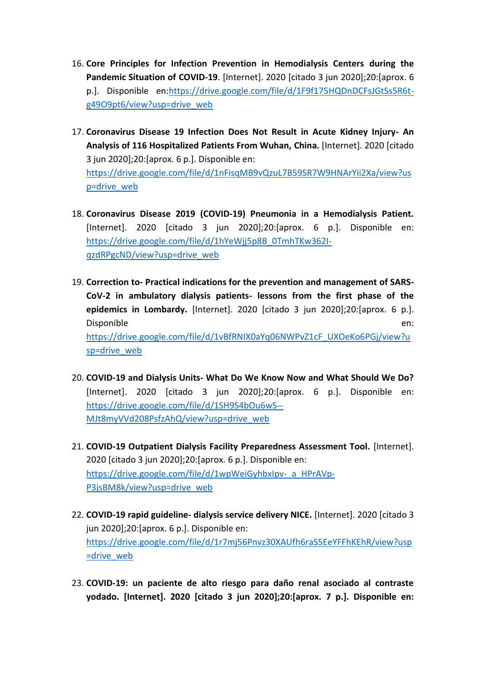- 16. **Core Principles for Infection Prevention in Hemodialysis Centers during the Pandemic Situation of COVID-19**. [Internet]. 2020 [citado 3 jun 2020];20:[aprox. 6 p.]. Disponible en[:https://drive.google.com/file/d/1F9f175HQDnDCFsJGtSs5R6t](https://drive.google.com/file/d/1F9f175HQDnDCFsJGtSs5R6t-g49O9pt6/view?usp=drive_web)[g49O9pt6/view?usp=drive\\_web](https://drive.google.com/file/d/1F9f175HQDnDCFsJGtSs5R6t-g49O9pt6/view?usp=drive_web)
- 17. **Coronavirus Disease 19 Infection Does Not Result in Acute Kidney Injury- An Analysis of 116 Hospitalized Patients From Wuhan, China.** [Internet]. 2020 [citado 3 jun 2020];20:[aprox. 6 p.]. Disponible en: [https://drive.google.com/file/d/1nFisqMB9vQzuL7B59SR7W9HNArYii2Xa/view?us](https://drive.google.com/file/d/1nFisqMB9vQzuL7B59SR7W9HNArYii2Xa/view?usp=drive_web) [p=drive\\_web](https://drive.google.com/file/d/1nFisqMB9vQzuL7B59SR7W9HNArYii2Xa/view?usp=drive_web)
- 18. **Coronavirus Disease 2019 (COVID-19) Pneumonia in a Hemodialysis Patient.** [Internet]. 2020 [citado 3 jun 2020];20:[aprox. 6 p.]. Disponible en: [https://drive.google.com/file/d/1hYeWjj5p8B\\_0TmhTKw362I](https://drive.google.com/file/d/1hYeWjj5p8B_0TmhTKw362I-qzdRPgcND/view?usp=drive_web)[qzdRPgcND/view?usp=drive\\_web](https://drive.google.com/file/d/1hYeWjj5p8B_0TmhTKw362I-qzdRPgcND/view?usp=drive_web)
- 19. **Correction to- Practical indications for the prevention and management of SARS-CoV-2 in ambulatory dialysis patients- lessons from the first phase of the epidemics in Lombardy.** [Internet]. 2020 [citado 3 jun 2020];20:[aprox. 6 p.]. Disponible en: the entity of the entity of the entity of the entity of the entity of the entity of the entity of the entity of the entity of the entity of the entity of the entity of the entity of the entity of the entity [https://drive.google.com/file/d/1vBfRNIX0aYq06NWPvZ1cF\\_UXOeKo6PGj/view?u](https://drive.google.com/file/d/1vBfRNIX0aYq06NWPvZ1cF_UXOeKo6PGj/view?usp=drive_web) [sp=drive\\_web](https://drive.google.com/file/d/1vBfRNIX0aYq06NWPvZ1cF_UXOeKo6PGj/view?usp=drive_web)
- 20. **COVID-19 and Dialysis Units- What Do We Know Now and What Should We Do?** [Internet]. 2020 [citado 3 jun 2020];20:[aprox. 6 p.]. Disponible en: [https://drive.google.com/file/d/1SH9S4bOu6wS--](https://drive.google.com/file/d/1SH9S4bOu6wS--MJt8myVVd208PsfzAhQ/view?usp=drive_web) [MJt8myVVd208PsfzAhQ/view?usp=drive\\_web](https://drive.google.com/file/d/1SH9S4bOu6wS--MJt8myVVd208PsfzAhQ/view?usp=drive_web)
- 21. **COVID-19 Outpatient Dialysis Facility Preparedness Assessment Tool.** [Internet]. 2020 [citado 3 jun 2020];20:[aprox. 6 p.]. Disponible en: [https://drive.google.com/file/d/1wpWeiGyhbxIpv-\\_a\\_HPrAVp-](https://drive.google.com/file/d/1wpWeiGyhbxIpv-_a_HPrAVp-P3jsBM8k/view?usp=drive_web)P3isBM8k/view?usp=drive\_web
- 22. **COVID-19 rapid guideline- dialysis service delivery NICE.** [Internet]. 2020 [citado 3 jun 2020];20:[aprox. 6 p.]. Disponible en: [https://drive.google.com/file/d/1r7mj56Pnvz30XAUfh6raS5EeYFFhKEhR/view?usp](https://drive.google.com/file/d/1r7mj56Pnvz30XAUfh6raS5EeYFFhKEhR/view?usp=drive_web) [=drive\\_web](https://drive.google.com/file/d/1r7mj56Pnvz30XAUfh6raS5EeYFFhKEhR/view?usp=drive_web)
- 23. **COVID-19: un paciente de alto riesgo para daño renal asociado al contraste yodado. [Internet]. 2020 [citado 3 jun 2020];20:[aprox. 7 p.]. Disponible en:**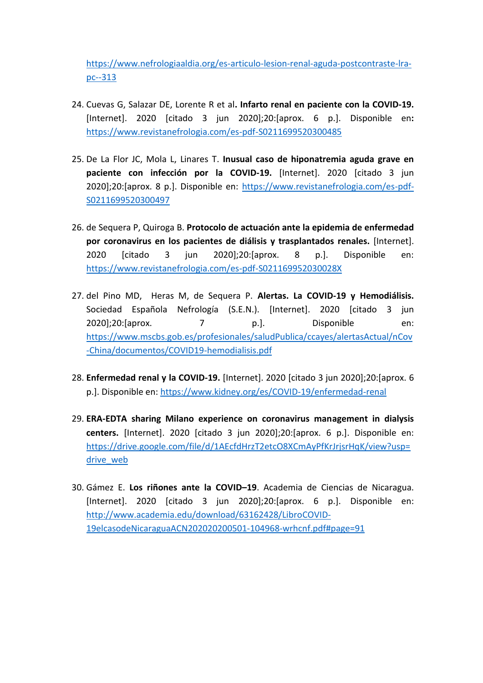[https://www.nefrologiaaldia.org/es-articulo-lesion-renal-aguda-postcontraste-lra](https://www.nefrologiaaldia.org/es-articulo-lesion-renal-aguda-postcontraste-lra-pc--313)[pc--313](https://www.nefrologiaaldia.org/es-articulo-lesion-renal-aguda-postcontraste-lra-pc--313)

- 24. Cuevas G, Salazar DE, Lorente R et al**. Infarto renal en paciente con la COVID-19.** [Internet]. 2020 [citado 3 jun 2020];20:[aprox. 6 p.]. Disponible en**:** <https://www.revistanefrologia.com/es-pdf-S0211699520300485>
- 25. De La Flor JC, Mola L, Linares T. **Inusual caso de hiponatremia aguda grave en paciente con infección por la COVID-19.** [Internet]. 2020 [citado 3 jun 2020];20:[aprox. 8 p.]. Disponible en: [https://www.revistanefrologia.com/es-pdf-](https://www.revistanefrologia.com/es-pdf-S0211699520300497)[S0211699520300497](https://www.revistanefrologia.com/es-pdf-S0211699520300497)
- 26. de Sequera P, Quiroga B. **Protocolo de actuación ante la epidemia de enfermedad por coronavirus en los pacientes de diálisis y trasplantados renales.** [Internet]. 2020 [citado 3 jun 2020];20:[aprox. 8 p.]. Disponible en: <https://www.revistanefrologia.com/es-pdf-S021169952030028X>
- 27. del Pino MD, Heras M, de Sequera P. **Alertas. La COVID-19 y Hemodiálisis.**  Sociedad Española Nefrología (S.E.N.). [Internet]. 2020 [citado 3 jun 2020];20:[aprox. 7 p.]. Disponible en: [https://www.mscbs.gob.es/profesionales/saludPublica/ccayes/alertasActual/nCov](https://www.mscbs.gob.es/profesionales/saludPublica/ccayes/alertasActual/nCov-China/documentos/COVID19-hemodialisis.pdf) [-China/documentos/COVID19-hemodialisis.pdf](https://www.mscbs.gob.es/profesionales/saludPublica/ccayes/alertasActual/nCov-China/documentos/COVID19-hemodialisis.pdf)
- 28. **Enfermedad renal y la COVID-19.** [Internet]. 2020 [citado 3 jun 2020];20:[aprox. 6 p.]. Disponible en[: https://www.kidney.org/es/COVID-19/enfermedad-renal](https://www.kidney.org/es/covid-19/enfermedad-renal)
- 29. **ERA-EDTA sharing Milano experience on coronavirus management in dialysis centers.** [Internet]. 2020 [citado 3 jun 2020];20:[aprox. 6 p.]. Disponible en: [https://drive.google.com/file/d/1AEcfdHrzT2etcO8XCmAyPfKrJrjsrHqK/view?usp=](https://drive.google.com/file/d/1AEcfdHrzT2etcO8XCmAyPfKrJrjsrHqK/view?usp=drive_web) drive web
- 30. Gámez E. **Los riñones ante la COVID–19**. Academia de Ciencias de Nicaragua. [Internet]. 2020 [citado 3 jun 2020];20:[aprox. 6 p.]. Disponible en: [http://www.academia.edu/download/63162428/LibroCOVID-](http://www.academia.edu/download/63162428/LibroCOVID-19elcasodeNicaraguaACN202020200501-104968-wrhcnf.pdf#page=91)[19elcasodeNicaraguaACN202020200501-104968-wrhcnf.pdf#page=91](http://www.academia.edu/download/63162428/LibroCOVID-19elcasodeNicaraguaACN202020200501-104968-wrhcnf.pdf#page=91)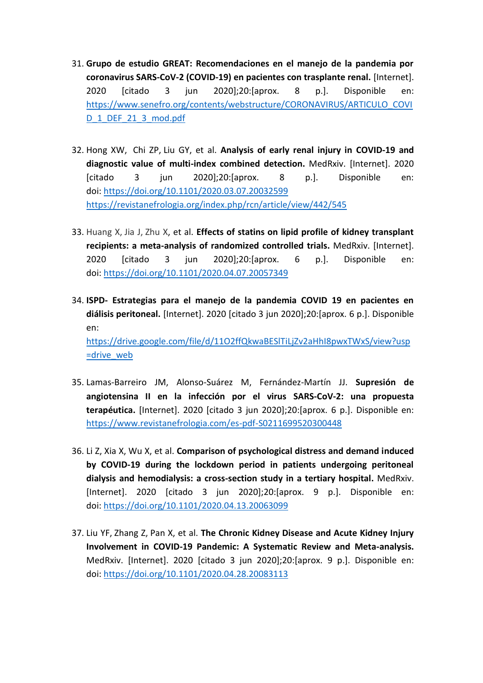- 31. **Grupo de estudio GREAT: Recomendaciones en el manejo de la pandemia por coronavirus SARS-CoV-2 (COVID-19) en pacientes con trasplante renal.** [Internet]. 2020 [citado 3 jun 2020];20:[aprox. 8 p.]. Disponible en: [https://www.senefro.org/contents/webstructure/CORONAVIRUS/ARTICULO\\_COVI](https://www.senefro.org/contents/webstructure/CORONAVIRUS/ARTICULO_COVID_1_DEF_21_3_mod.pdf) [D\\_1\\_DEF\\_21\\_3\\_mod.pdf](https://www.senefro.org/contents/webstructure/CORONAVIRUS/ARTICULO_COVID_1_DEF_21_3_mod.pdf)
- 32. Hong XW, Chi ZP, Liu GY, et al. **[Analysis of early renal injury in COVID-19](https://www.medrxiv.org/content/10.1101/2020.03.07.20032599v2) and [diagnostic value of multi-index combined detection.](https://www.medrxiv.org/content/10.1101/2020.03.07.20032599v2)** MedRxiv. [Internet]. 2020 [citado 3 jun 2020];20:[aprox. 8 p.]. Disponible en: doi: <https://doi.org/10.1101/2020.03.07.20032599> <https://revistanefrologia.org/index.php/rcn/article/view/442/545>
- 33. Huang X, Jia J, Zhu X, et al. **[Effects of statins on lipid profile of kidney transplant](https://www.medrxiv.org/content/10.1101/2020.04.07.20057349v1)  [recipients: a meta-analysis of randomized controlled trials.](https://www.medrxiv.org/content/10.1101/2020.04.07.20057349v1)** MedRxiv. [Internet]. 2020 [citado 3 jun 2020];20:[aprox. 6 p.]. Disponible en: doi: <https://doi.org/10.1101/2020.04.07.20057349>
- 34. **ISPD- Estrategias para el manejo de la pandemia COVID 19 en pacientes en diálisis peritoneal.** [Internet]. 2020 [citado 3 jun 2020];20:[aprox. 6 p.]. Disponible en:

[https://drive.google.com/file/d/11O2ffQkwaBESlTiLjZv2aHhI8pwxTWxS/view?usp](https://drive.google.com/file/d/11O2ffQkwaBESlTiLjZv2aHhI8pwxTWxS/view?usp=drive_web) [=drive\\_web](https://drive.google.com/file/d/11O2ffQkwaBESlTiLjZv2aHhI8pwxTWxS/view?usp=drive_web)

- 35. Lamas-Barreiro JM, Alonso-Suárez M, Fernández-Martín JJ. **Supresión de angiotensina II en la infección por el virus SARS-CoV-2: una propuesta terapéutica.** [Internet]. 2020 [citado 3 jun 2020];20:[aprox. 6 p.]. Disponible en: <https://www.revistanefrologia.com/es-pdf-S0211699520300448>
- 36. Li Z, Xia X, Wu X, et al. **[Comparison of psychological distress and demand induced](https://www.medrxiv.org/content/10.1101/2020.04.13.20063099v1)  by COVID-19 [during the lockdown period in patients undergoing peritoneal](https://www.medrxiv.org/content/10.1101/2020.04.13.20063099v1)  [dialysis and hemodialysis: a cross-section study in a tertiary hospital.](https://www.medrxiv.org/content/10.1101/2020.04.13.20063099v1)** MedRxiv. [Internet]. 2020 [citado 3 jun 2020];20:[aprox. 9 p.]. Disponible en: doi: <https://doi.org/10.1101/2020.04.13.20063099>
- 37. Liu YF, Zhang Z, Pan X, et al. **[The Chronic Kidney Disease and Acute Kidney Injury](https://www.medrxiv.org/content/10.1101/2020.04.28.20083113v1)  Involvement in COVID-19 [Pandemic: A Systematic Review and Meta-analysis.](https://www.medrxiv.org/content/10.1101/2020.04.28.20083113v1)** MedRxiv. [Internet]. 2020 [citado 3 jun 2020];20:[aprox. 9 p.]. Disponible en: doi: <https://doi.org/10.1101/2020.04.28.20083113>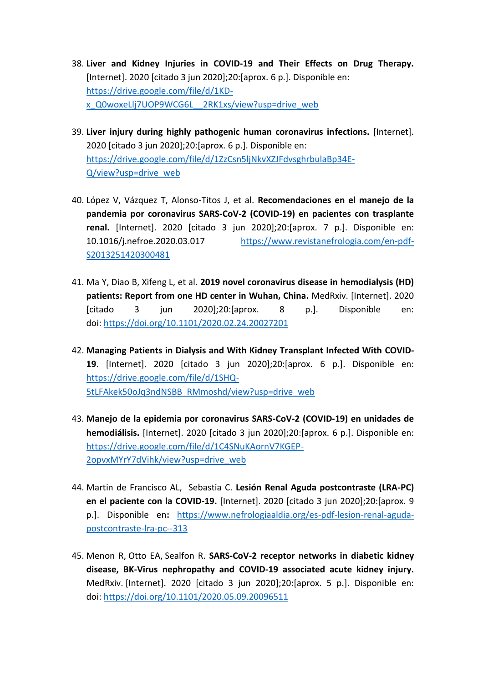- 38. **Liver and Kidney Injuries in COVID-19 and Their Effects on Drug Therapy.** [Internet]. 2020 [citado 3 jun 2020];20:[aprox. 6 p.]. Disponible en: [https://drive.google.com/file/d/1KD](https://drive.google.com/file/d/1KD-x_Q0woxeLlj7UOP9WCG6L__2RK1xs/view?usp=drive_web)[x\\_Q0woxeLlj7UOP9WCG6L\\_\\_2RK1xs/view?usp=drive\\_web](https://drive.google.com/file/d/1KD-x_Q0woxeLlj7UOP9WCG6L__2RK1xs/view?usp=drive_web)
- 39. **Liver injury during highly pathogenic human coronavirus infections.** [Internet]. 2020 [citado 3 jun 2020];20:[aprox. 6 p.]. Disponible en: [https://drive.google.com/file/d/1ZzCsn5ljNkvXZJFdvsghrbulaBp34E-](https://drive.google.com/file/d/1ZzCsn5ljNkvXZJFdvsghrbulaBp34E-Q/view?usp=drive_web)[Q/view?usp=drive\\_web](https://drive.google.com/file/d/1ZzCsn5ljNkvXZJFdvsghrbulaBp34E-Q/view?usp=drive_web)
- 40. López V, Vázquez T, Alonso-Titos J, et al. **Recomendaciones en el manejo de la pandemia por coronavirus SARS-CoV-2 (COVID-19) en pacientes con trasplante renal.** [Internet]. 2020 [citado 3 jun 2020];20:[aprox. 7 p.]. Disponible en: 10.1016/j.nefroe.2020.03.017 [https://www.revistanefrologia.com/en-pdf-](https://www.revistanefrologia.com/en-pdf-S2013251420300481)[S2013251420300481](https://www.revistanefrologia.com/en-pdf-S2013251420300481)
- 41. Ma Y, Diao B, Xifeng L, et al. **[2019 novel coronavirus disease in hemodialysis \(HD\)](https://www.medrxiv.org/content/10.1101/2020.02.24.20027201v2)  [patients: Report from one HD center in Wuhan, China.](https://www.medrxiv.org/content/10.1101/2020.02.24.20027201v2)** MedRxiv. [Internet]. 2020 [citado 3 jun 2020];20:[aprox. 8 p.]. Disponible en: doi: <https://doi.org/10.1101/2020.02.24.20027201>
- 42. **Managing Patients in Dialysis and With Kidney Transplant Infected With COVID-19**. [Internet]. 2020 [citado 3 jun 2020];20:[aprox. 6 p.]. Disponible en: [https://drive.google.com/file/d/1SHQ-](https://drive.google.com/file/d/1SHQ-5tLFAkek50oJq3ndNSBB_RMmoshd/view?usp=drive_web)[5tLFAkek50oJq3ndNSBB\\_RMmoshd/view?usp=drive\\_web](https://drive.google.com/file/d/1SHQ-5tLFAkek50oJq3ndNSBB_RMmoshd/view?usp=drive_web)
- 43. **Manejo de la epidemia por coronavirus SARS-CoV-2 (COVID-19) en unidades de hemodiálisis.** [Internet]. 2020 [citado 3 jun 2020];20:[aprox. 6 p.]. Disponible en: [https://drive.google.com/file/d/1C4SNuKAornV7KGEP-](https://drive.google.com/file/d/1C4SNuKAornV7KGEP-2opvxMYrY7dVihk/view?usp=drive_web)[2opvxMYrY7dVihk/view?usp=drive\\_web](https://drive.google.com/file/d/1C4SNuKAornV7KGEP-2opvxMYrY7dVihk/view?usp=drive_web)
- 44. Martin de Francisco AL, Sebastia C. **Lesión Renal Aguda postcontraste (LRA-PC) en el paciente con la COVID-19.** [Internet]. 2020 [citado 3 jun 2020];20:[aprox. 9 p.]. Disponible en**:** [https://www.nefrologiaaldia.org/es-pdf-lesion-renal-aguda](https://www.nefrologiaaldia.org/es-pdf-lesion-renal-aguda-postcontraste-lra-pc--313)[postcontraste-lra-pc--313](https://www.nefrologiaaldia.org/es-pdf-lesion-renal-aguda-postcontraste-lra-pc--313)
- 45. Menon R, Otto EA, Sealfon R. **[SARS-CoV-2 receptor networks in diabetic kidney](https://www.medrxiv.org/content/10.1101/2020.05.09.20096511v1)  [disease, BK-Virus nephropathy and COVID-19](https://www.medrxiv.org/content/10.1101/2020.05.09.20096511v1) associated acute kidney injury.** MedRxiv. [Internet]. 2020 [citado 3 jun 2020];20:[aprox. 5 p.]. Disponible en: doi: <https://doi.org/10.1101/2020.05.09.20096511>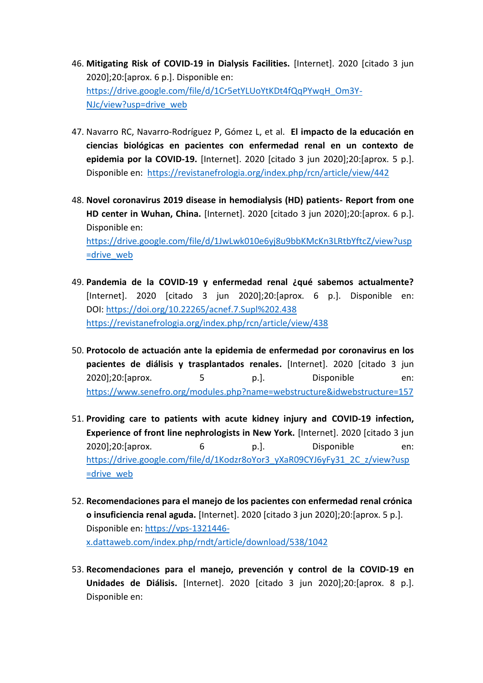- 46. **Mitigating Risk of COVID-19 in Dialysis Facilities.** [Internet]. 2020 [citado 3 jun 2020];20:[aprox. 6 p.]. Disponible en: [https://drive.google.com/file/d/1Cr5etYLUoYtKDt4fQqPYwqH\\_Om3Y-](https://drive.google.com/file/d/1Cr5etYLUoYtKDt4fQqPYwqH_Om3Y-NJc/view?usp=drive_web)[NJc/view?usp=drive\\_web](https://drive.google.com/file/d/1Cr5etYLUoYtKDt4fQqPYwqH_Om3Y-NJc/view?usp=drive_web)
- 47. Navarro RC, Navarro-Rodríguez P, Gómez L, et al. **El impacto de la educación en ciencias biológicas en pacientes con enfermedad renal en un contexto de epidemia por la COVID-19.** [Internet]. 2020 [citado 3 jun 2020];20:[aprox. 5 p.]. Disponible en: <https://revistanefrologia.org/index.php/rcn/article/view/442>
- 48. **Novel coronavirus 2019 disease in hemodialysis (HD) patients- Report from one HD center in Wuhan, China.** [Internet]. 2020 [citado 3 jun 2020];20:[aprox. 6 p.]. Disponible en: [https://drive.google.com/file/d/1JwLwk010e6yj8u9bbKMcKn3LRtbYftcZ/view?usp](https://drive.google.com/file/d/1JwLwk010e6yj8u9bbKMcKn3LRtbYftcZ/view?usp=drive_web) [=drive\\_web](https://drive.google.com/file/d/1JwLwk010e6yj8u9bbKMcKn3LRtbYftcZ/view?usp=drive_web)
- 49. **Pandemia de la COVID-19 y enfermedad renal ¿qué sabemos actualmente?**  [Internet]. 2020 [citado 3 jun 2020];20:[aprox. 6 p.]. Disponible en: DOI: <https://doi.org/10.22265/acnef.7.Supl%202.438> <https://revistanefrologia.org/index.php/rcn/article/view/438>
- 50. **Protocolo de actuación ante la epidemia de enfermedad por coronavirus en los pacientes de diálisis y trasplantados renales.** [Internet]. 2020 [citado 3 jun 2020];20:[aprox. 5 p.]. Disponible en: <https://www.senefro.org/modules.php?name=webstructure&idwebstructure=157>
- 51. **Providing care to patients with acute kidney injury and COVID-19 infection, Experience of front line nephrologists in New York.** [Internet]. 2020 [citado 3 jun 2020];20:[aprox. 6 p.]. Disponible en: [https://drive.google.com/file/d/1Kodzr8oYor3\\_yXaR09CYJ6yFy31\\_2C\\_z/view?usp](https://drive.google.com/file/d/1Kodzr8oYor3_yXaR09CYJ6yFy31_2C_z/view?usp=drive_web) [=drive\\_web](https://drive.google.com/file/d/1Kodzr8oYor3_yXaR09CYJ6yFy31_2C_z/view?usp=drive_web)
- 52. **Recomendaciones para el manejo de los pacientes con enfermedad renal crónica o insuficiencia renal aguda.** [Internet]. 2020 [citado 3 jun 2020];20:[aprox. 5 p.]. Disponible en: [https://vps-1321446](https://vps-1321446-x.dattaweb.com/index.php/rndt/article/download/538/1042) [x.dattaweb.com/index.php/rndt/article/download/538/1042](https://vps-1321446-x.dattaweb.com/index.php/rndt/article/download/538/1042)
- 53. **Recomendaciones para el manejo, prevención y control de la COVID-19 en Unidades de Diálisis.** [Internet]. 2020 [citado 3 jun 2020];20:[aprox. 8 p.]. Disponible en: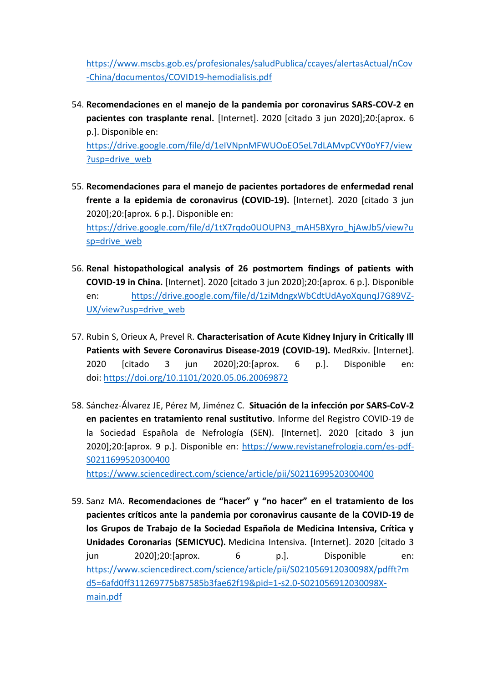[https://www.mscbs.gob.es/profesionales/saludPublica/ccayes/alertasActual/nCov](https://www.mscbs.gob.es/profesionales/saludPublica/ccayes/alertasActual/nCov-China/documentos/COVID19-hemodialisis.pdf) [-China/documentos/COVID19-hemodialisis.pdf](https://www.mscbs.gob.es/profesionales/saludPublica/ccayes/alertasActual/nCov-China/documentos/COVID19-hemodialisis.pdf)

- 54. **Recomendaciones en el manejo de la pandemia por coronavirus SARS-COV-2 en pacientes con trasplante renal.** [Internet]. 2020 [citado 3 jun 2020];20:[aprox. 6 p.]. Disponible en: [https://drive.google.com/file/d/1eIVNpnMFWUOoEO5eL7dLAMvpCVY0oYF7/view](https://drive.google.com/file/d/1eIVNpnMFWUOoEO5eL7dLAMvpCVY0oYF7/view?usp=drive_web) [?usp=drive\\_web](https://drive.google.com/file/d/1eIVNpnMFWUOoEO5eL7dLAMvpCVY0oYF7/view?usp=drive_web)
- 55. **Recomendaciones para el manejo de pacientes portadores de enfermedad renal frente a la epidemia de coronavirus (COVID-19).** [Internet]. 2020 [citado 3 jun 2020];20:[aprox. 6 p.]. Disponible en: [https://drive.google.com/file/d/1tX7rqdo0UOUPN3\\_mAH5BXyro\\_hjAwJb5/view?u](https://drive.google.com/file/d/1tX7rqdo0UOUPN3_mAH5BXyro_hjAwJb5/view?usp=drive_web) [sp=drive\\_web](https://drive.google.com/file/d/1tX7rqdo0UOUPN3_mAH5BXyro_hjAwJb5/view?usp=drive_web)
- 56. **Renal histopathological analysis of 26 postmortem findings of patients with COVID-19 in China.** [Internet]. 2020 [citado 3 jun 2020];20:[aprox. 6 p.]. Disponible en: https://drive.google.com/file/d/1ziMdngxWbCdtUdAvoXqunqJ7G89VZ-[UX/view?usp=drive\\_web](https://drive.google.com/file/d/1ziMdngxWbCdtUdAyoXqunqJ7G89VZ-UX/view?usp=drive_web)
- 57. Rubin S, Orieux A, Prevel R. **[Characterisation of Acute Kidney Injury in Critically Ill](https://www.medrxiv.org/content/10.1101/2020.05.06.20069872v1)  [Patients with Severe Coronavirus Disease-2019 \(COVID-19\).](https://www.medrxiv.org/content/10.1101/2020.05.06.20069872v1)** MedRxiv. [Internet]. 2020 [citado 3 jun 2020];20:[aprox. 6 p.]. Disponible en: doi: <https://doi.org/10.1101/2020.05.06.20069872>
- 58. Sánchez-Álvarez JE, Pérez M, Jiménez C. **Situación de la infección por SARS-CoV-2 en pacientes en tratamiento renal sustitutivo**. Informe del Registro COVID-19 de la Sociedad Española de Nefrología (SEN). [Internet]. 2020 [citado 3 jun 2020];20:[aprox. 9 p.]. Disponible en: [https://www.revistanefrologia.com/es-pdf-](https://www.revistanefrologia.com/es-pdf-S0211699520300400)[S0211699520300400](https://www.revistanefrologia.com/es-pdf-S0211699520300400)

<https://www.sciencedirect.com/science/article/pii/S0211699520300400>

59. Sanz MA. **Recomendaciones de "hacer" y "no hacer" en el tratamiento de los pacientes críticos ante la pandemia por coronavirus causante de la COVID-19 de los Grupos de Trabajo de la Sociedad Española de Medicina Intensiva, Crítica y Unidades Coronarias (SEMICYUC).** Medicina Intensiva. [Internet]. 2020 [citado 3 jun 2020];20:[aprox. 6 p.]. Disponible en: [https://www.sciencedirect.com/science/article/pii/S021056912030098X/pdfft?m](https://www.sciencedirect.com/science/article/pii/S021056912030098X/pdfft?md5=6afd0ff311269775b87585b3fae62f19&pid=1-s2.0-S021056912030098X-main.pdf) [d5=6afd0ff311269775b87585b3fae62f19&pid=1-s2.0-S021056912030098X](https://www.sciencedirect.com/science/article/pii/S021056912030098X/pdfft?md5=6afd0ff311269775b87585b3fae62f19&pid=1-s2.0-S021056912030098X-main.pdf)[main.pdf](https://www.sciencedirect.com/science/article/pii/S021056912030098X/pdfft?md5=6afd0ff311269775b87585b3fae62f19&pid=1-s2.0-S021056912030098X-main.pdf)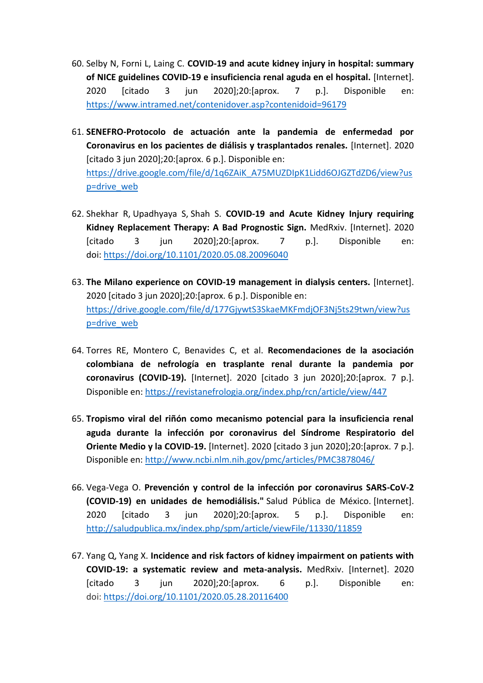- 60. Selby N, Forni L, Laing C. **COVID-19 and acute kidney injury in hospital: summary of NICE guidelines COVID-19 e insuficiencia renal aguda en el hospital.** [Internet]. 2020 [citado 3 jun 2020];20:[aprox. 7 p.]. Disponible en: <https://www.intramed.net/contenidover.asp?contenidoid=96179>
- 61. **SENEFRO-Protocolo de actuación ante la pandemia de enfermedad por Coronavirus en los pacientes de diálisis y trasplantados renales.** [Internet]. 2020 [citado 3 jun 2020];20:[aprox. 6 p.]. Disponible en: [https://drive.google.com/file/d/1q6ZAiK\\_A75MUZDIpK1Lidd6OJGZTdZD6/view?us](https://drive.google.com/file/d/1q6ZAiK_A75MUZDIpK1Lidd6OJGZTdZD6/view?usp=drive_web) [p=drive\\_web](https://drive.google.com/file/d/1q6ZAiK_A75MUZDIpK1Lidd6OJGZTdZD6/view?usp=drive_web)
- 62. Shekhar R, Upadhyaya S, Shah S. **COVID-19 [and Acute Kidney Injury requiring](https://www.medrxiv.org/content/10.1101/2020.05.08.20096040v2)  [Kidney Replacement Therapy: A Bad Prognostic Sign.](https://www.medrxiv.org/content/10.1101/2020.05.08.20096040v2)** MedRxiv. [Internet]. 2020 [citado 3 jun 2020];20:[aprox. 7 p.]. Disponible en: doi: <https://doi.org/10.1101/2020.05.08.20096040>
- 63. **The Milano experience on COVID-19 management in dialysis centers.** [Internet]. 2020 [citado 3 jun 2020];20:[aprox. 6 p.]. Disponible en: [https://drive.google.com/file/d/177GjywtS3SkaeMKFmdjOF3Nj5ts29twn/view?us](https://drive.google.com/file/d/177GjywtS3SkaeMKFmdjOF3Nj5ts29twn/view?usp=drive_web) [p=drive\\_web](https://drive.google.com/file/d/177GjywtS3SkaeMKFmdjOF3Nj5ts29twn/view?usp=drive_web)
- 64. Torres RE, Montero C, Benavides C, et al. **Recomendaciones de la asociación colombiana de nefrología en trasplante renal durante la pandemia por coronavirus (COVID-19).** [Internet]. 2020 [citado 3 jun 2020];20:[aprox. 7 p.]. Disponible en:<https://revistanefrologia.org/index.php/rcn/article/view/447>
- 65. **Tropismo viral del riñón como mecanismo potencial para la insuficiencia renal aguda durante la infección por coronavirus del Síndrome Respiratorio del Oriente Medio y la COVID-19.** [Internet]. 2020 [citado 3 jun 2020];20:[aprox. 7 p.]. Disponible en:<http://www.ncbi.nlm.nih.gov/pmc/articles/PMC3878046/>
- 66. Vega-Vega O. **Prevención y control de la infección por coronavirus SARS-CoV-2 (COVID-19) en unidades de hemodiálisis."** Salud Pública de México. [Internet]. 2020 [citado 3 jun 2020];20:[aprox. 5 p.]. Disponible en: <http://saludpublica.mx/index.php/spm/article/viewFile/11330/11859>
- 67. Yang Q, Yang X. **[Incidence and risk factors of kidney impairment on patients with](https://www.medrxiv.org/content/10.1101/2020.05.28.20116400v1)  [COVID-19: a systematic review and meta-analysis.](https://www.medrxiv.org/content/10.1101/2020.05.28.20116400v1)** MedRxiv. [Internet]. 2020 [citado 3 jun 2020];20:[aprox. 6 p.]. Disponible en: doi: <https://doi.org/10.1101/2020.05.28.20116400>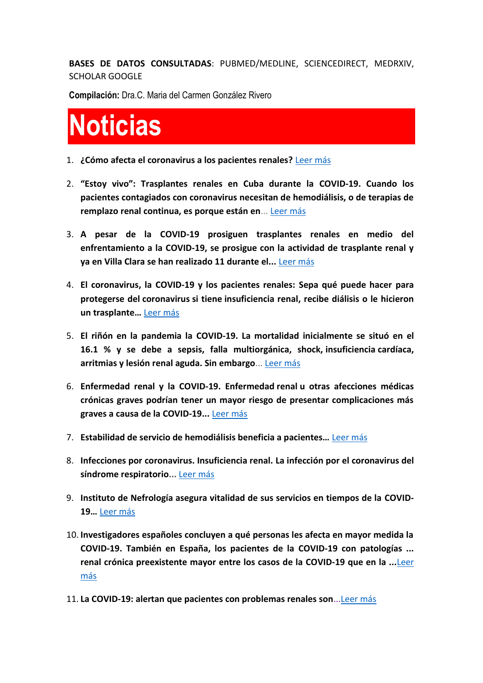**BASES DE DATOS CONSULTADAS**: PUBMED/MEDLINE, SCIENCEDIRECT, MEDRXIV, SCHOLAR GOOGLE

**Compilación:** Dra.C. Maria del Carmen González Rivero

# **Noticias**

- 1. **¿Cómo afecta el coronavirus a los pacientes renales?** [Leer más](https://www.youtube.com/watch?v=VYSbEwTu4MI)
- 2. **"Estoy vivo": Trasplantes renales en Cuba durante la COVID-19. Cuando los pacientes contagiados con coronavirus necesitan de hemodiálisis, o de terapias de remplazo renal continua, es porque están en**... [Leer más](http://www.cubadebate.cu/especiales/2020/05/15/estoy-vivo-trasplantes-renales-en-cuba-durante-la-covid-19/)
- 3. **A pesar de la COVID-19 prosiguen trasplantes renales en medio del enfrentamiento a la COVID-19, se prosigue con la actividad de trasplante renal y ya en Villa Clara se han realizado 11 durante el...** [Leer más](http://www.cmhw.cu/en-villa-clara/26425-a-pesar-de-la-covid-19-prosiguen-trasplantes-renales-en-cuba-audio)
- 4. **El coronavirus, la COVID-19 y los pacientes renales: Sepa qué puede hacer para protegerse del coronavirus si tiene insuficiencia renal, recibe diálisis o le hicieron un trasplante…** [Leer más](https://www.kidneyfund.org/en-espanol/covid-19/)
- 5. **El riñón en la pandemia la COVID-19. La mortalidad inicialmente se situó en el 16.1 % y se debe a sepsis, falla multiorgánica, shock, insuficiencia cardíaca, arritmias y lesión renal aguda. Sin embargo**... [Leer más](https://www.theisn.org/images/EL-RINON-EN-EL-CORONAVIRUS.pdf)
- 6. **Enfermedad renal y la COVID-19. Enfermedad renal u otras afecciones médicas crónicas graves podrían tener un mayor riesgo de presentar complicaciones más graves a causa de la COVID-19...** [Leer más](https://www.kidney.org/es/covid-19/enfermedad-renal)
- 7. **Estabilidad de servicio de hemodiálisis beneficia a pacientes…** [Leer más](http://www.acn.cu/salud/65411-estabilidad-de-servicio-de-hemodialisis-beneficia-a-pacientes)
- 8. **Infecciones por coronavirus. Insuficiencia renal. La infección por el coronavirus del síndrome respiratorio...** [Leer más](https://temas.sld.cu/coronavirus/tag/insuficiencia-renal/)
- 9. **Instituto de Nefrología asegura vitalidad de sus servicios en tiempos de la COVID-19…** [Leer más](http://www.radiobayamo.icrt.cu/2020/04/15/instituto-de-nefrologia-asegura-vitalidad-de-sus-servicios-en-tiempos-de-covid-19/)
- 10. **Investigadores españoles concluyen a qué personas les afecta en mayor medida la COVID-19. También en España, los pacientes de la COVID-19 con patologías ... renal crónica preexistente mayor entre los casos de la COVID-19 que en la ...**[Leer](https://www.cordobabn.com/articulo/salud/investigadores-espanoles-concluyen-como-quien-influye-mayor-medida-covid-19-cualquier-persona/20200603082419047957.html)  [más](https://www.cordobabn.com/articulo/salud/investigadores-espanoles-concluyen-como-quien-influye-mayor-medida-covid-19-cualquier-persona/20200603082419047957.html)
- 11. **La COVID-19: alertan que pacientes con problemas renales son**..[.Leer más](https://www.youtube.com/watch?v=gQAuUuV4oTY)